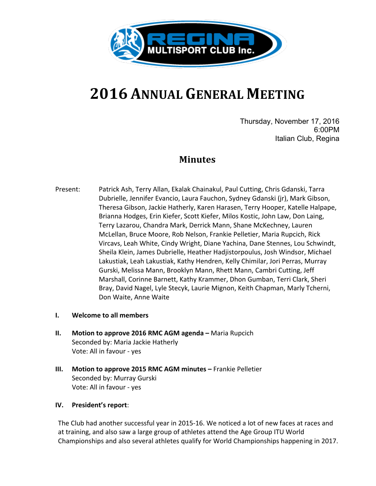

# **2016 ANNUAL GENERAL MEETING**

Thursday, November 17, 2016 6:00PM Italian Club, Regina

## **Minutes**

- Present: Patrick Ash, Terry Allan, Ekalak Chainakul, Paul Cutting, Chris Gdanski, Tarra Dubrielle, Jennifer Evancio, Laura Fauchon, Sydney Gdanski (jr), Mark Gibson, Theresa Gibson, Jackie Hatherly, Karen Harasen, Terry Hooper, Katelle Halpape, Brianna Hodges, Erin Kiefer, Scott Kiefer, Milos Kostic, John Law, Don Laing, Terry Lazarou, Chandra Mark, Derrick Mann, Shane McKechney, Lauren McLellan, Bruce Moore, Rob Nelson, Frankie Pelletier, Maria Rupcich, Rick Vircavs, Leah White, Cindy Wright, Diane Yachina, Dane Stennes, Lou Schwindt, Sheila Klein, James Dubrielle, Heather Hadjistorpoulus, Josh Windsor, Michael Lakustiak, Leah Lakustiak, Kathy Hendren, Kelly Chimilar, Jori Perras, Murray Gurski, Melissa Mann, Brooklyn Mann, Rhett Mann, Cambri Cutting, Jeff Marshall, Corinne Barnett, Kathy Krammer, Dhon Gumban, Terri Clark, Sheri Bray, David Nagel, Lyle Stecyk, Laurie Mignon, Keith Chapman, Marly Tcherni, Don Waite, Anne Waite
- **I. Welcome to all members**
- **II.** Motion to approve 2016 RMC AGM agenda Maria Rupcich Seconded by: Maria Jackie Hatherly Vote: All in favour - yes
- **III.** Motion to approve 2015 RMC AGM minutes Frankie Pelletier Seconded by: Murray Gurski Vote: All in favour - yes

#### **IV.** President's report:

The Club had another successful year in 2015-16. We noticed a lot of new faces at races and at training, and also saw a large group of athletes attend the Age Group ITU World Championships and also several athletes qualify for World Championships happening in 2017.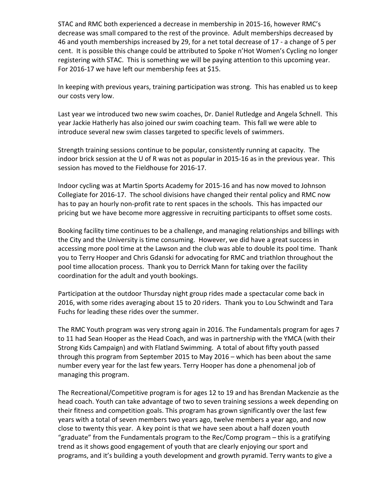STAC and RMC both experienced a decrease in membership in 2015-16, however RMC's decrease was small compared to the rest of the province. Adult memberships decreased by 46 and youth memberships increased by 29, for a net total decrease of 17 - a change of 5 per cent. It is possible this change could be attributed to Spoke n'Hot Women's Cycling no longer registering with STAC. This is something we will be paying attention to this upcoming year. For 2016-17 we have left our membership fees at \$15.

In keeping with previous years, training participation was strong. This has enabled us to keep our costs very low.

Last year we introduced two new swim coaches, Dr. Daniel Rutledge and Angela Schnell. This year Jackie Hatherly has also joined our swim coaching team. This fall we were able to introduce several new swim classes targeted to specific levels of swimmers.

Strength training sessions continue to be popular, consistently running at capacity. The indoor brick session at the U of R was not as popular in 2015-16 as in the previous year. This session has moved to the Fieldhouse for 2016-17.

Indoor cycling was at Martin Sports Academy for 2015-16 and has now moved to Johnson Collegiate for 2016-17. The school divisions have changed their rental policy and RMC now has to pay an hourly non-profit rate to rent spaces in the schools. This has impacted our pricing but we have become more aggressive in recruiting participants to offset some costs.

Booking facility time continues to be a challenge, and managing relationships and billings with the City and the University is time consuming. However, we did have a great success in accessing more pool time at the Lawson and the club was able to double its pool time. Thank you to Terry Hooper and Chris Gdanski for advocating for RMC and triathlon throughout the pool time allocation process. Thank you to Derrick Mann for taking over the facility coordination for the adult and youth bookings.

Participation at the outdoor Thursday night group rides made a spectacular come back in 2016, with some rides averaging about 15 to 20 riders. Thank you to Lou Schwindt and Tara Fuchs for leading these rides over the summer.

The RMC Youth program was very strong again in 2016. The Fundamentals program for ages 7 to 11 had Sean Hooper as the Head Coach, and was in partnership with the YMCA (with their Strong Kids Campaign) and with Flatland Swimming. A total of about fifty youth passed through this program from September 2015 to May 2016 – which has been about the same number every year for the last few years. Terry Hooper has done a phenomenal job of managing this program.

The Recreational/Competitive program is for ages 12 to 19 and has Brendan Mackenzie as the head coach. Youth can take advantage of two to seven training sessions a week depending on their fitness and competition goals. This program has grown significantly over the last few years with a total of seven members two years ago, twelve members a year ago, and now close to twenty this year. A key point is that we have seen about a half dozen youth "graduate" from the Fundamentals program to the  $Rec/Comp$  program  $-$  this is a gratifying trend as it shows good engagement of youth that are clearly enjoying our sport and programs, and it's building a youth development and growth pyramid. Terry wants to give a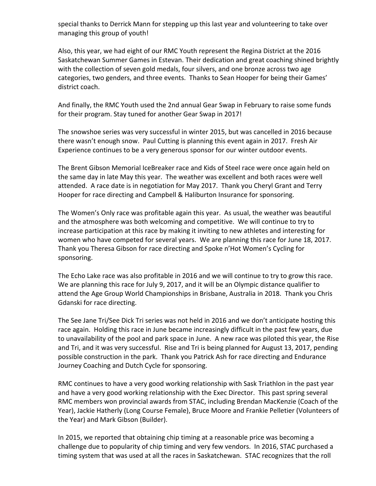special thanks to Derrick Mann for stepping up this last year and volunteering to take over managing this group of youth!

Also, this year, we had eight of our RMC Youth represent the Regina District at the 2016 Saskatchewan Summer Games in Estevan. Their dedication and great coaching shined brightly with the collection of seven gold medals, four silvers, and one bronze across two age categories, two genders, and three events. Thanks to Sean Hooper for being their Games' district coach.

And finally, the RMC Youth used the 2nd annual Gear Swap in February to raise some funds for their program. Stay tuned for another Gear Swap in 2017!

The snowshoe series was very successful in winter 2015, but was cancelled in 2016 because there wasn't enough snow. Paul Cutting is planning this event again in 2017. Fresh Air Experience continues to be a very generous sponsor for our winter outdoor events.

The Brent Gibson Memorial IceBreaker race and Kids of Steel race were once again held on the same day in late May this year. The weather was excellent and both races were well attended. A race date is in negotiation for May 2017. Thank you Cheryl Grant and Terry Hooper for race directing and Campbell & Haliburton Insurance for sponsoring.

The Women's Only race was profitable again this year. As usual, the weather was beautiful and the atmosphere was both welcoming and competitive. We will continue to try to increase participation at this race by making it inviting to new athletes and interesting for women who have competed for several years. We are planning this race for June 18, 2017. Thank you Theresa Gibson for race directing and Spoke n'Hot Women's Cycling for sponsoring. 

The Echo Lake race was also profitable in 2016 and we will continue to try to grow this race. We are planning this race for July 9, 2017, and it will be an Olympic distance qualifier to attend the Age Group World Championships in Brisbane, Australia in 2018. Thank you Chris Gdanski for race directing.

The See Jane Tri/See Dick Tri series was not held in 2016 and we don't anticipate hosting this race again. Holding this race in June became increasingly difficult in the past few years, due to unavailability of the pool and park space in June. A new race was piloted this year, the Rise and Tri, and it was very successful. Rise and Tri is being planned for August 13, 2017, pending possible construction in the park. Thank you Patrick Ash for race directing and Endurance Journey Coaching and Dutch Cycle for sponsoring.

RMC continues to have a very good working relationship with Sask Triathlon in the past year and have a very good working relationship with the Exec Director. This past spring several RMC members won provincial awards from STAC, including Brendan MacKenzie (Coach of the Year), Jackie Hatherly (Long Course Female), Bruce Moore and Frankie Pelletier (Volunteers of the Year) and Mark Gibson (Builder).

In 2015, we reported that obtaining chip timing at a reasonable price was becoming a challenge due to popularity of chip timing and very few vendors. In 2016, STAC purchased a timing system that was used at all the races in Saskatchewan. STAC recognizes that the roll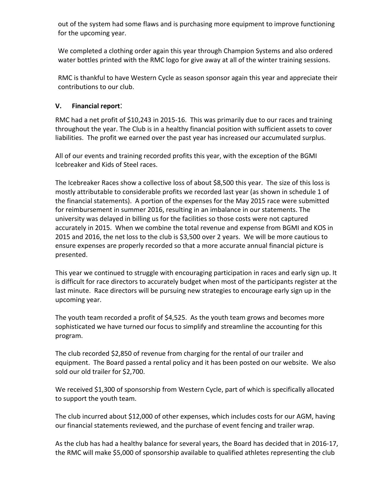out of the system had some flaws and is purchasing more equipment to improve functioning for the upcoming year.

We completed a clothing order again this year through Champion Systems and also ordered water bottles printed with the RMC logo for give away at all of the winter training sessions.

RMC is thankful to have Western Cycle as season sponsor again this year and appreciate their contributions to our club.

#### **V. Financial report**:

RMC had a net profit of \$10,243 in 2015-16. This was primarily due to our races and training throughout the year. The Club is in a healthy financial position with sufficient assets to cover liabilities. The profit we earned over the past year has increased our accumulated surplus.

All of our events and training recorded profits this year, with the exception of the BGMI Icebreaker and Kids of Steel races.

The Icebreaker Races show a collective loss of about \$8,500 this year. The size of this loss is mostly attributable to considerable profits we recorded last year (as shown in schedule 1 of the financial statements). A portion of the expenses for the May 2015 race were submitted for reimbursement in summer 2016, resulting in an imbalance in our statements. The university was delayed in billing us for the facilities so those costs were not captured accurately in 2015. When we combine the total revenue and expense from BGMI and KOS in 2015 and 2016, the net loss to the club is \$3,500 over 2 years. We will be more cautious to ensure expenses are properly recorded so that a more accurate annual financial picture is presented.

This year we continued to struggle with encouraging participation in races and early sign up. It is difficult for race directors to accurately budget when most of the participants register at the last minute. Race directors will be pursuing new strategies to encourage early sign up in the upcoming year.

The youth team recorded a profit of \$4,525. As the youth team grows and becomes more sophisticated we have turned our focus to simplify and streamline the accounting for this program.

The club recorded \$2,850 of revenue from charging for the rental of our trailer and equipment. The Board passed a rental policy and it has been posted on our website. We also sold our old trailer for \$2,700.

We received \$1,300 of sponsorship from Western Cycle, part of which is specifically allocated to support the youth team.

The club incurred about \$12,000 of other expenses, which includes costs for our AGM, having our financial statements reviewed, and the purchase of event fencing and trailer wrap.

As the club has had a healthy balance for several years, the Board has decided that in 2016-17, the RMC will make \$5,000 of sponsorship available to qualified athletes representing the club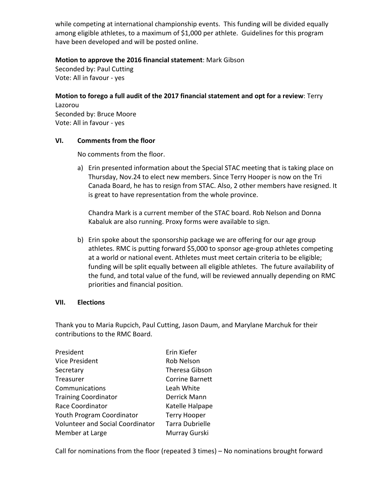while competing at international championship events. This funding will be divided equally among eligible athletes, to a maximum of \$1,000 per athlete. Guidelines for this program have been developed and will be posted online.

#### **Motion to approve the 2016 financial statement:** Mark Gibson

Seconded by: Paul Cutting Vote: All in favour - yes

**Motion to forego a full audit of the 2017 financial statement and opt for a review: Terry** Lazorou Seconded by: Bruce Moore Vote: All in favour - yes

#### **VI.** Comments from the floor

No comments from the floor.

a) Erin presented information about the Special STAC meeting that is taking place on Thursday, Nov.24 to elect new members. Since Terry Hooper is now on the Tri Canada Board, he has to resign from STAC. Also, 2 other members have resigned. It is great to have representation from the whole province.

Chandra Mark is a current member of the STAC board. Rob Nelson and Donna Kabaluk are also running. Proxy forms were available to sign.

b) Erin spoke about the sponsorship package we are offering for our age group athletes. RMC is putting forward \$5,000 to sponsor age-group athletes competing at a world or national event. Athletes must meet certain criteria to be eligible; funding will be split equally between all eligible athletes. The future availability of the fund, and total value of the fund, will be reviewed annually depending on RMC priorities and financial position.

#### **VII. Elections**

Thank you to Maria Rupcich, Paul Cutting, Jason Daum, and Marylane Marchuk for their contributions to the RMC Board.

| President                               | Erin Kiefer            |
|-----------------------------------------|------------------------|
| <b>Vice President</b>                   | Rob Nelson             |
| Secretary                               | <b>Theresa Gibson</b>  |
| Treasurer                               | <b>Corrine Barnett</b> |
| Communications                          | Leah White             |
| <b>Training Coordinator</b>             | Derrick Mann           |
| Race Coordinator                        | Katelle Halpape        |
| Youth Program Coordinator               | <b>Terry Hooper</b>    |
| <b>Volunteer and Social Coordinator</b> | <b>Tarra Dubrielle</b> |
| Member at Large                         | Murray Gurski          |

Call for nominations from the floor (repeated 3 times) – No nominations brought forward